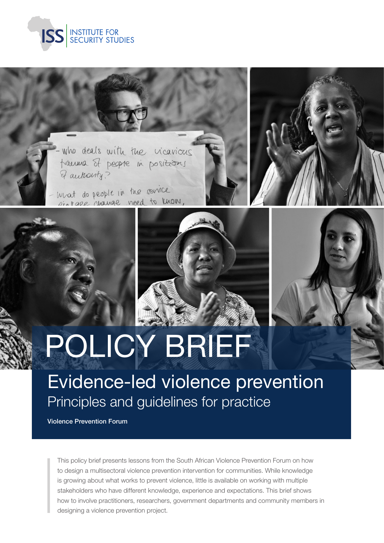

who deals with the vicarious trauma of people in positions & authority?

mat do people in the service sintage change need to know,





Evidence-led violence prevention Principles and guidelines for practice

Violence Prevention Forum

This policy brief presents lessons from the South African Violence Prevention Forum on how to design a multisectoral violence prevention intervention for communities. While knowledge is growing about what works to prevent violence, little is available on working with multiple stakeholders who have different knowledge, experience and expectations. This brief shows how to involve practitioners, researchers, government departments and community members in designing a violence prevention project.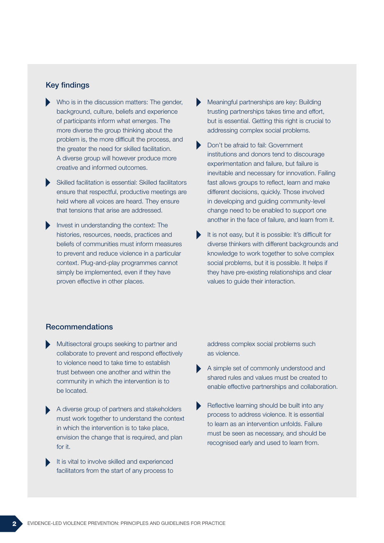## Key findings

- Who is in the discussion matters: The gender, background, culture, beliefs and experience of participants inform what emerges. The more diverse the group thinking about the problem is, the more difficult the process, and the greater the need for skilled facilitation. A diverse group will however produce more creative and informed outcomes.
- Skilled facilitation is essential: Skilled facilitators ensure that respectful, productive meetings are held where all voices are heard. They ensure that tensions that arise are addressed.
- Invest in understanding the context: The histories, resources, needs, practices and beliefs of communities must inform measures to prevent and reduce violence in a particular context. Plug-and-play programmes cannot simply be implemented, even if they have proven effective in other places.
- Meaningful partnerships are key: Building trusting partnerships takes time and effort, but is essential. Getting this right is crucial to addressing complex social problems.
- Don't be afraid to fail: Government institutions and donors tend to discourage experimentation and failure, but failure is inevitable and necessary for innovation. Failing fast allows groups to reflect, learn and make different decisions, quickly. Those involved in developing and guiding community-level change need to be enabled to support one another in the face of failure, and learn from it.
- It is not easy, but it is possible: It's difficult for diverse thinkers with different backgrounds and knowledge to work together to solve complex social problems, but it is possible. It helps if they have pre-existing relationships and clear values to guide their interaction.

## Recommendations

- Multisectoral groups seeking to partner and collaborate to prevent and respond effectively to violence need to take time to establish trust between one another and within the community in which the intervention is to be located.
- A diverse group of partners and stakeholders must work together to understand the context in which the intervention is to take place, envision the change that is required, and plan for it.
- It is vital to involve skilled and experienced facilitators from the start of any process to

address complex social problems such as violence.

- A simple set of commonly understood and shared rules and values must be created to enable effective partnerships and collaboration.
- Reflective learning should be built into any process to address violence. It is essential to learn as an intervention unfolds. Failure must be seen as necessary, and should be recognised early and used to learn from.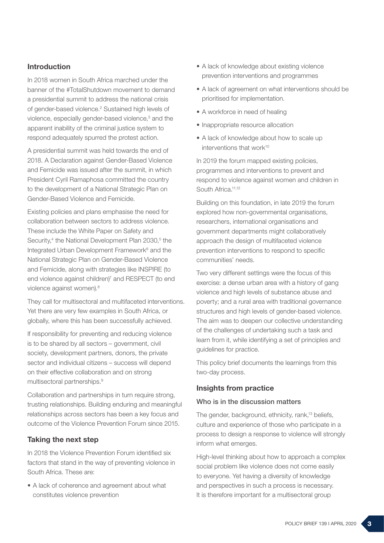# Introduction

In 2018 women in South Africa marched under the banner of the #TotalShutdown movement to demand a presidential summit to address the national crisis of gender-based violence.<sup>2</sup> Sustained high levels of violence, especially gender-based violence,<sup>3</sup> and the apparent inability of the criminal justice system to respond adequately spurred the protest action.

A presidential summit was held towards the end of 2018. A Declaration against Gender-Based Violence and Femicide was issued after the summit, in which President Cyril Ramaphosa committed the country to the development of a National Strategic Plan on Gender-Based Violence and Femicide.

Existing policies and plans emphasise the need for collaboration between sectors to address violence. These include the White Paper on Safety and Security,<sup>4</sup> the National Development Plan 2030,<sup>5</sup> the Integrated Urban Development Framework<sup>6</sup> and the National Strategic Plan on Gender-Based Violence and Femicide, along with strategies like INSPIRE (to end violence against children)<sup>7</sup> and RESPECT (to end violence against women).<sup>8</sup>

They call for multisectoral and multifaceted interventions. Yet there are very few examples in South Africa, or globally, where this has been successfully achieved.

If responsibility for preventing and reducing violence is to be shared by all sectors – government, civil society, development partners, donors, the private sector and individual citizens – success will depend on their effective collaboration and on strong multisectoral partnerships.9

Collaboration and partnerships in turn require strong, trusting relationships. Building enduring and meaningful relationships across sectors has been a key focus and outcome of the Violence Prevention Forum since 2015.

## Taking the next step

In 2018 the Violence Prevention Forum identified six factors that stand in the way of preventing violence in South Africa. These are:

• A lack of coherence and agreement about what constitutes violence prevention

- A lack of knowledge about existing violence prevention interventions and programmes
- A lack of agreement on what interventions should be prioritised for implementation.
- A workforce in need of healing
- Inappropriate resource allocation
- A lack of knowledge about how to scale up interventions that work<sup>10</sup>

In 2019 the forum mapped existing policies, programmes and interventions to prevent and respond to violence against women and children in South Africa.<sup>11,12</sup>

Building on this foundation, in late 2019 the forum explored how non-governmental organisations, researchers, international organisations and government departments might collaboratively approach the design of multifaceted violence prevention interventions to respond to specific communities' needs.

Two very different settings were the focus of this exercise: a dense urban area with a history of gang violence and high levels of substance abuse and poverty; and a rural area with traditional governance structures and high levels of gender-based violence. The aim was to deepen our collective understanding of the challenges of undertaking such a task and learn from it, while identifying a set of principles and guidelines for practice.

This policy brief documents the learnings from this two-day process.

## Insights from practice

#### Who is in the discussion matters

The gender, background, ethnicity, rank,<sup>13</sup> beliefs, culture and experience of those who participate in a process to design a response to violence will strongly inform what emerges.

High-level thinking about how to approach a complex social problem like violence does not come easily to everyone. Yet having a diversity of knowledge and perspectives in such a process is necessary. It is therefore important for a multisectoral group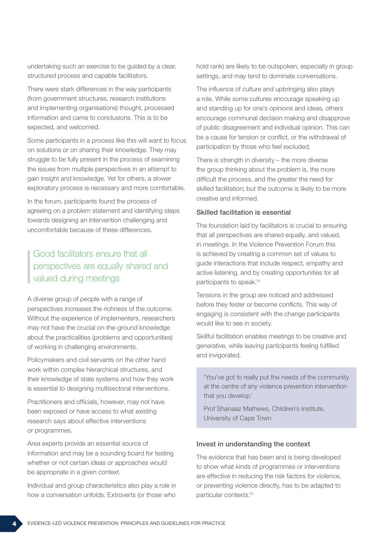undertaking such an exercise to be guided by a clear, structured process and capable facilitators.

There were stark differences in the way participants (from government structures, research institutions and implementing organisations) thought, processed information and came to conclusions. This is to be expected, and welcomed.

Some participants in a process like this will want to focus on solutions or on sharing their knowledge. They may struggle to be fully present in the process of examining the issues from multiple perspectives in an attempt to gain insight and knowledge. Yet for others, a slower exploratory process is necessary and more comfortable.

In the forum, participants found the process of agreeing on a problem statement and identifying steps towards designing an intervention challenging and uncomfortable because of these differences.

# Good facilitators ensure that all perspectives are equally shared and valued during meetings

A diverse group of people with a range of perspectives increases the richness of the outcome. Without the experience of implementers, researchers may not have the crucial on-the-ground knowledge about the practicalities (problems and opportunities) of working in challenging environments.

Policymakers and civil servants on the other hand work within complex hierarchical structures, and their knowledge of state systems and how they work is essential to designing multisectoral interventions.

Practitioners and officials, however, may not have been exposed or have access to what existing research says about effective interventions or programmes.

Area experts provide an essential source of information and may be a sounding board for testing whether or not certain ideas or approaches would be appropriate in a given context.

Individual and group characteristics also play a role in how a conversation unfolds. Extroverts (or those who

hold rank) are likely to be outspoken, especially in group settings, and may tend to dominate conversations.

The influence of culture and upbringing also plays a role. While some cultures encourage speaking up and standing up for one's opinions and ideas, others encourage communal decision making and disapprove of public disagreement and individual opinion. This can be a cause for tension or conflict, or the withdrawal of participation by those who feel excluded.

There is strength in diversity – the more diverse the group thinking about the problem is, the more difficult the process, and the greater the need for skilled facilitation; but the outcome is likely to be more creative and informed.

### Skilled facilitation is essential

The foundation laid by facilitators is crucial to ensuring that all perspectives are shared equally, and valued, in meetings. In the Violence Prevention Forum this is achieved by creating a common set of values to guide interactions that include respect, empathy and active listening, and by creating opportunities for all participants to speak.14

Tensions in the group are noticed and addressed before they fester or become conflicts. This way of engaging is consistent with the change participants would like to see in society.

Skillful facilitation enables meetings to be creative and generative, while leaving participants feeling fulfilled and invigorated.

'You've got to really put the needs of the community at the centre of any violence prevention intervention that you develop.'

Prof Shanaaz Mathews, Children's Institute, University of Cape Town

#### Invest in understanding the context

The evidence that has been and is being developed to show what kinds of programmes or interventions are effective in reducing the risk factors for violence, or preventing violence directly, has to be adapted to particular contexts.15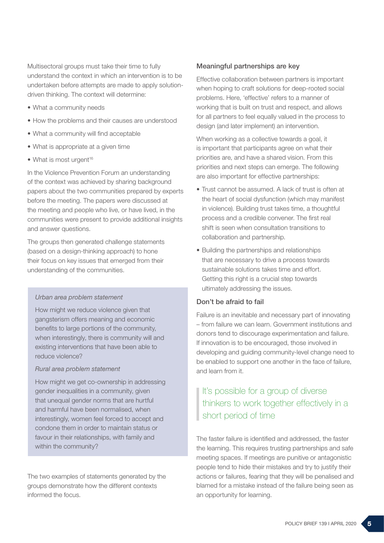Multisectoral groups must take their time to fully understand the context in which an intervention is to be undertaken before attempts are made to apply solutiondriven thinking. The context will determine:

- What a community needs
- How the problems and their causes are understood
- What a community will find acceptable
- What is appropriate at a given time
- What is most urgent<sup>16</sup>

In the Violence Prevention Forum an understanding of the context was achieved by sharing background papers about the two communities prepared by experts before the meeting. The papers were discussed at the meeting and people who live, or have lived, in the communities were present to provide additional insights and answer questions.

The groups then generated challenge statements (based on a design-thinking approach) to hone their focus on key issues that emerged from their understanding of the communities.

#### *Urban area problem statement*

How might we reduce violence given that gangsterism offers meaning and economic benefits to large portions of the community, when interestingly, there is community will and existing interventions that have been able to reduce violence?

#### *Rural area problem statement*

How might we get co-ownership in addressing gender inequalities in a community, given that unequal gender norms that are hurtful and harmful have been normalised, when interestingly, women feel forced to accept and condone them in order to maintain status or favour in their relationships, with family and within the community?

The two examples of statements generated by the groups demonstrate how the different contexts informed the focus.

#### Meaningful partnerships are key

Effective collaboration between partners is important when hoping to craft solutions for deep-rooted social problems. Here, 'effective' refers to a manner of working that is built on trust and respect, and allows for all partners to feel equally valued in the process to design (and later implement) an intervention.

When working as a collective towards a goal, it is important that participants agree on what their priorities are, and have a shared vision. From this priorities and next steps can emerge. The following are also important for effective partnerships:

- Trust cannot be assumed. A lack of trust is often at the heart of social dysfunction (which may manifest in violence). Building trust takes time, a thoughtful process and a credible convener. The first real shift is seen when consultation transitions to collaboration and partnership.
- Building the partnerships and relationships that are necessary to drive a process towards sustainable solutions takes time and effort. Getting this right is a crucial step towards ultimately addressing the issues.

#### Don't be afraid to fail

Failure is an inevitable and necessary part of innovating – from failure we can learn. Government institutions and donors tend to discourage experimentation and failure. If innovation is to be encouraged, those involved in developing and guiding community-level change need to be enabled to support one another in the face of failure, and learn from it.

# It's possible for a group of diverse thinkers to work together effectively in a short period of time

The faster failure is identified and addressed, the faster the learning. This requires trusting partnerships and safe meeting spaces. If meetings are punitive or antagonistic people tend to hide their mistakes and try to justify their actions or failures, fearing that they will be penalised and blamed for a mistake instead of the failure being seen as an opportunity for learning.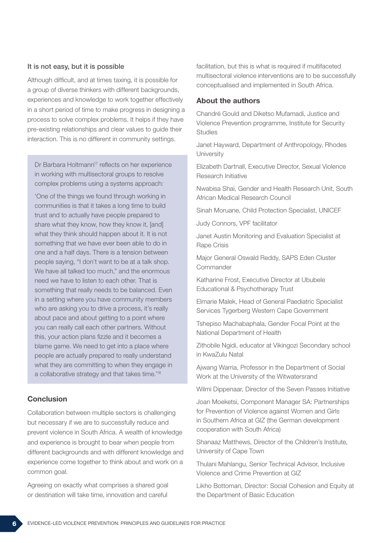#### It is not easy, but it is possible

Although difficult, and at times taxing, it is possible for a group of diverse thinkers with different backgrounds, experiences and knowledge to work together effectively in a short period of time to make progress in designing a process to solve complex problems. It helps if they have pre-existing relationships and clear values to guide their interaction. This is no different in community settings.

Dr Barbara Holtmann<sup>17</sup> reflects on her experience in working with multisectoral groups to resolve complex problems using a systems approach:

'One of the things we found through working in communities is that it takes a long time to build trust and to actually have people prepared to share what they know, how they know it, [and] what they think should happen about it. It is not something that we have ever been able to do in one and a half days. There is a tension between people saying, "I don't want to be at a talk shop. We have all talked too much," and the enormous need we have to listen to each other. That is something that really needs to be balanced. Even in a setting where you have community members who are asking you to drive a process, it's really about pace and about getting to a point where you can really call each other partners. Without this, your action plans fizzle and it becomes a blame game. We need to get into a place where people are actually prepared to really understand what they are committing to when they engage in a collaborative strategy and that takes time.'18

# **Conclusion**

Collaboration between multiple sectors is challenging but necessary if we are to successfully reduce and prevent violence in South Africa. A wealth of knowledge and experience is brought to bear when people from different backgrounds and with different knowledge and experience come together to think about and work on a common goal.

Agreeing on exactly what comprises a shared goal or destination will take time, innovation and careful

facilitation, but this is what is required if multifaceted multisectoral violence interventions are to be successfully conceptualised and implemented in South Africa.

#### About the authors

Chandré Gould and Diketso Mufamadi, Justice and Violence Prevention programme, Institute for Security **Studies** 

Janet Hayward, Department of Anthropology, Rhodes **University** 

Elizabeth Dartnall, Executive Director, Sexual Violence Research Initiative

Nwabisa Shai, Gender and Health Research Unit, South African Medical Research Council

Sinah Moruane, Child Protection Specialist, UNICEF

Judy Connors, VPF facilitator

Janet Austin Monitoring and Evaluation Specialist at Rape Crisis

Major General Oswald Reddy, SAPS Eden Cluster Commander

Katharine Frost, Executive Director at Ububele Educational & Psychotherapy Trust

Elmarie Malek, Head of General Paediatric Specialist Services Tygerberg Western Cape Government

Tshepiso Machabaphala, Gender Focal Point at the National Department of Health

Zithobile Ngidi, educator at Vikingozi Secondary school in KwaZulu Natal

Ajwang Warria, Professor in the Department of Social Work at the University of the Witwatersrand

Wilmi Dippenaar, Director of the Seven Passes Initiative

Joan Moeketsi, Component Manager SA: Partnerships for Prevention of Violence against Women and Girls in Southern Africa at GIZ (the German development cooperation with South Africa)

Shanaaz Matthews, Director of the Children's Institute, University of Cape Town

Thulani Mahlangu, Senior Technical Advisor, Inclusive Violence and Crime Prevention at GIZ

Likho Bottoman, Director: Social Cohesion and Equity at the Department of Basic Education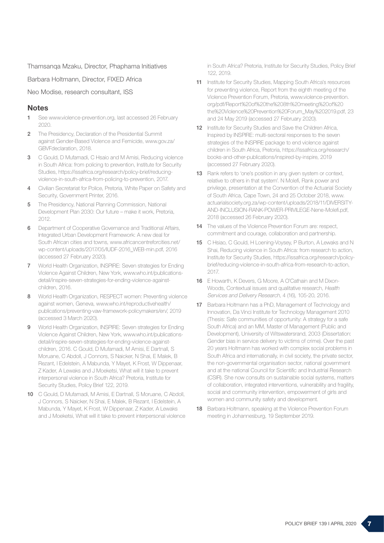Thamsanqa Mzaku, Director, Phaphama Initiatives

Barbara Holtmann, Director, FIXED Africa

Neo Modise, research consultant, ISS

### **Notes**

- 1 See www.violence-prevention.org, last accessed 26 February 2020.
- 2 The Presidency, Declaration of the Presidential Summit against Gender-Based Violence and Femicide, www.gov.za/ GBVFdeclaration, 2018.
- 3 C Gould, D Mufamadi, C Hsaio and M Amisi, Reducing violence in South Africa: from policing to prevention, Institute for Security Studies, https://issafrica.org/research/policy-brief/reducingviolence-in-south-africa-from-policing-to-prevention, 2017.
- 4 Civilian Secretariat for Police, Pretoria, White Paper on Safety and Security, Government Printer, 2016.
- 5 The Presidency, National Planning Commission, National Development Plan 2030: Our future – make it work, Pretoria, 2012.
- **6** Department of Cooperative Governance and Traditional Affairs, Integrated Urban Development Framework: A new deal for South African cities and towns, www.africancentreforcities.net/ wp-content/uploads/2017/05/IUDF-2016\_WEB-min.pdf, 2016 (accessed 27 February 2020).
- 7 World Health Organization, INSPIRE: Seven strategies for Ending Violence Against Children, New York, www.who.int/publicationsdetail/inspire-seven-strategies-for-ending-violence-againstchildren, 2016.
- 8 World Health Organization, RESPECT women: Preventing violence against women, Geneva, www.who.int/reproductivehealth/ publications/preventing-vaw-framework-policymakers/en/, 2019 (accessed 3 March 2020).
- 9 World Health Organization, INSPIRE: Seven strategies for Ending Violence Against Children, New York, www.who.int/publicationsdetail/inspire-seven-strategies-for-ending-violence-againstchildren, 2016. C Gould, D Mufamadi, M Amisi, E Dartnall, S Moruane, C Abdoll, J Connors, S Naicker, N Shai, E Malek, B Rezant, I Edelstein, A Mabunda, Y Mayet, K Frost, W Dippenaar, Z Kader, A Lewaks and J Moeketsi, What will it take to prevent interpersonal violence in South Africa? Pretoria, Institute for Security Studies, Policy Brief 122, 2019.
- 10 C Gould, D Mufamadi, M Amisi, E Dartnall, S Moruane, C Abdoll, J Connors, S Naicker, N Shai, E Malek, B Rezant, I Edelstein, A Mabunda, Y Mayet, K Frost, W Dippenaar, Z Kader, A Lewaks and J Moeketsi, What will it take to prevent interpersonal violence

in South Africa? Pretoria, Institute for Security Studies, Policy Brief 122, 2019.

- 11 Institute for Security Studies, Mapping South Africa's resources for preventing violence, Report from the eighth meeting of the Violence Prevention Forum, Pretoria, www.violence-prevention. org/pdf/Report%20of%20the%208th%20meeting%20of%20 the%20Violence%20Prevention%20Forum\_May%202019.pdf, 23 and 24 May 2019 (accessed 27 February 2020).
- 12 Institute for Security Studies and Save the Children Africa, Inspired by INSPIRE: multi-sectoral responses to the seven strategies of the INSPIRE package to end violence against children in South Africa, Pretoria, https://issafrica.org/research/ books-and-other-publications/inspired-by-inspire, 2019 (accessed 27 February 2020).
- 13 Rank refers to 'one's position in any given system or context, relative to others in that system'. N Molefi, Rank power and privilege, presentation at the Convention of the Actuarial Society of South Africa, Cape Town, 24 and 25 October 2018, www. actuarialsociety.org.za/wp-content/uploads/2018/11/DIVERSITY-AND-INCLUSION-RANK-POWER-PRIVILEGE-Nene-Molefi.pdf, 2018 (accessed 26 February 2020).
- 14 The values of the Violence Prevention Forum are: respect, commitment and courage, collaboration and partnership.
- 15 C Hsiao, C Gould, H Loening-Voysey, P Burton, A Lewaks and N Shai, Reducing violence in South Africa: from research to action, Institute for Security Studies, https://issafrica.org/research/policybrief/reducing-violence-in-south-africa-from-research-to-action, 2017.
- 16 E Howarth, K Devers, G Moore, A O'Cathain and M Dixon-Woods, Contextual issues and qualitative research, Health Services and Delivery Research, 4 (16), 105-20, 2016.
- 17 Barbara Holtmann has a PhD, Management of Technology and Innovation, Da Vinci Institute for Technology Management 2010 (Thesis: Safe communities of opportunity: A strategy for a safe South Africa) and an MM, Master of Management (Public and Development), University of Witswatersrand, 2003 (Dissertation: Gender bias in service delivery to victims of crime). Over the past 20 years Holtmann has worked with complex social problems in South Africa and internationally, in civil society, the private sector, the non-governmental organisation sector, national government and at the national Council for Scientific and Industrial Research (CSIR). She now consults on sustainable social systems, matters of collaboration, integrated interventions, vulnerability and fragility, social and community intervention, empowerment of girls and women and community safety and development.
- 18 Barbara Holtmann, speaking at the Violence Prevention Forum meeting in Johannesburg, 19 September 2019.